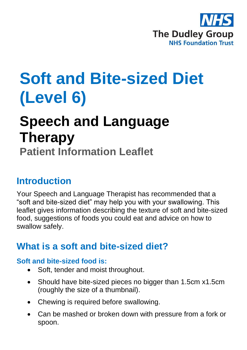

# **Soft and Bite-sized Diet (Level 6)**

# **Speech and Language Therapy**

**Patient Information Leaflet**

### **Introduction**

Your Speech and Language Therapist has recommended that a "soft and bite-sized diet" may help you with your swallowing. This leaflet gives information describing the texture of soft and bite-sized food, suggestions of foods you could eat and advice on how to swallow safely.

### **What is a soft and bite-sized diet?**

### **Soft and bite-sized food is:**

- Soft, tender and moist throughout.
- Should have bite-sized pieces no bigger than 1.5cm x1.5cm (roughly the size of a thumbnail).
- Chewing is required before swallowing.
- Can be mashed or broken down with pressure from a fork or spoon.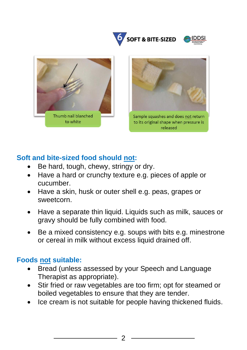





### **Soft and bite-sized food should not:**

- Be hard, tough, chewy, stringy or dry.
- Have a hard or crunchy texture e.g. pieces of apple or cucumber.
- Have a skin, husk or outer shell e.g. peas, grapes or sweetcorn.
- Have a separate thin liquid. Liquids such as milk, sauces or gravy should be fully combined with food.
- Be a mixed consistency e.g. soups with bits e.g. minestrone or cereal in milk without excess liquid drained off.

### **Foods not suitable:**

- Bread (unless assessed by your Speech and Language Therapist as appropriate).
- Stir fried or raw vegetables are too firm; opt for steamed or boiled vegetables to ensure that they are tender.
- Ice cream is not suitable for people having thickened fluids.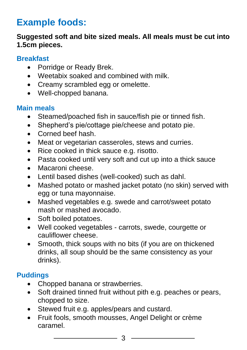## **Example foods:**

### **Suggested soft and bite sized meals. All meals must be cut into 1.5cm pieces.**

#### **Breakfast**

- Porridge or Ready Brek.
- Weetabix soaked and combined with milk.
- Creamy scrambled egg or omelette.
- Well-chopped banana.

### **Main meals**

- Steamed/poached fish in sauce/fish pie or tinned fish.
- Shepherd's pie/cottage pie/cheese and potato pie.
- Corned beef hash.
- Meat or vegetarian casseroles, stews and curries.
- Rice cooked in thick sauce e.g. risotto.
- Pasta cooked until very soft and cut up into a thick sauce
- Macaroni cheese.
- Lentil based dishes (well-cooked) such as dahl.
- Mashed potato or mashed jacket potato (no skin) served with egg or tuna mayonnaise.
- Mashed vegetables e.g. swede and carrot/sweet potato mash or mashed avocado.
- Soft boiled potatoes.
- Well cooked vegetables carrots, swede, courgette or cauliflower cheese.
- Smooth, thick soups with no bits (if you are on thickened drinks, all soup should be the same consistency as your drinks).

### **Puddings**

- Chopped banana or strawberries.
- Soft drained tinned fruit without pith e.g. peaches or pears, chopped to size.
- Stewed fruit e.g. apples/pears and custard.
- Fruit fools, smooth mousses, Angel Delight or crème caramel.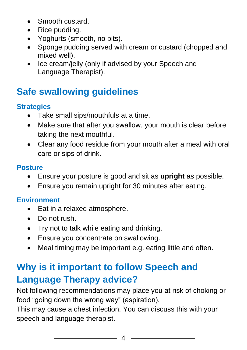- Smooth custard.
- Rice pudding.
- Yoghurts (smooth, no bits).
- Sponge pudding served with cream or custard (chopped and mixed well).
- Ice cream/jelly (only if advised by your Speech and Language Therapist).

# **Safe swallowing guidelines**

### **Strategies**

- Take small sips/mouthfuls at a time.
- Make sure that after you swallow, your mouth is clear before taking the next mouthful.
- Clear any food residue from your mouth after a meal with oral care or sips of drink.

### **Posture**

- Ensure your posture is good and sit as **upright** as possible.
- Ensure you remain upright for 30 minutes after eating.

### **Environment**

- Eat in a relaxed atmosphere.
- Do not rush.
- Try not to talk while eating and drinking.
- Ensure you concentrate on swallowing.
- Meal timing may be important e.g. eating little and often.

# **Why is it important to follow Speech and Language Therapy advice?**

Not following recommendations may place you at risk of choking or food "going down the wrong way" (aspiration).

This may cause a chest infection. You can discuss this with your speech and language therapist.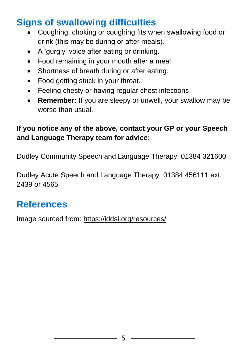# **Signs of swallowing difficulties**

- Coughing, choking or coughing fits when swallowing food or drink (this may be during or after meals).
- A 'gurgly' voice after eating or drinking.
- Food remaining in your mouth after a meal.
- Shortness of breath during or after eating.
- Food getting stuck in your throat.
- Feeling chesty or having regular chest infections.
- **Remember:** If you are sleepy or unwell, your swallow may be worse than usual.

### **If you notice any of the above, contact your GP or your Speech and Language Therapy team for advice:**

Dudley Community Speech and Language Therapy: 01384 321600

Dudley Acute Speech and Language Therapy: 01384 456111 ext. 2439 or 4565

## **References**

Image sourced from: <https://iddsi.org/resources/>